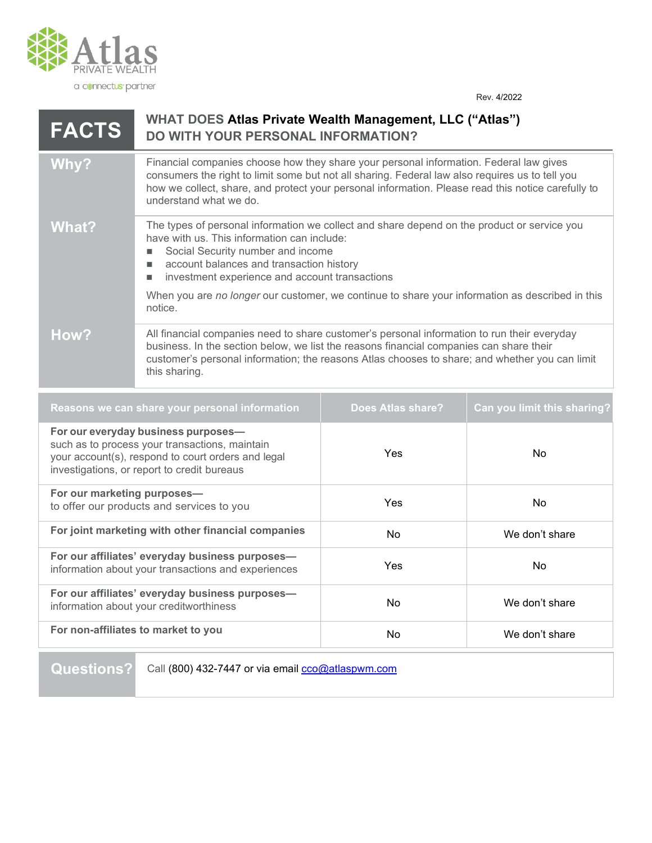

Rev. 4/2022

## **WHAT DOES Atlas Private Wealth Management, LLC ("Atlas") DO WITH YOUR PERSONAL INFORMATION? FACTS**

## Why? Financial companies choose how they share your personal information. Federal law gives consumers the right to limit some but not all sharing. Federal law also requires us to tell you how we collect, share, and protect your personal information. Please read this notice carefully to understand what we do.

What? The types of personal information we collect and share depend on the product or service you have with us. This information can include:

- Social Security number and income
- account balances and transaction history
- investment experience and account transactions

When you are *no longer* our customer, we continue to share your information as described in this notice.

## How? All financial companies need to share customer's personal information to run their everyday business. In the section below, we list the reasons financial companies can share their customer's personal information; the reasons Atlas chooses to share; and whether you can limit this sharing.

| Reasons we can share your personal information                                                                                                                                             | <b>Does Atlas share?</b> | Can you limit this sharing? |
|--------------------------------------------------------------------------------------------------------------------------------------------------------------------------------------------|--------------------------|-----------------------------|
| For our everyday business purposes-<br>such as to process your transactions, maintain<br>your account(s), respond to court orders and legal<br>investigations, or report to credit bureaus | <b>Yes</b>               | <b>No</b>                   |
| For our marketing purposes-<br>to offer our products and services to you                                                                                                                   | <b>Yes</b>               | <b>No</b>                   |
| For joint marketing with other financial companies                                                                                                                                         | No.                      | We don't share              |
| For our affiliates' everyday business purposes-<br>information about your transactions and experiences                                                                                     | Yes.                     | No.                         |
| For our affiliates' everyday business purposes-<br>information about your creditworthiness                                                                                                 | N <sub>o</sub>           | We don't share              |
| For non-affiliates to market to you                                                                                                                                                        | No.                      | We don't share              |

## Questions? Call (800) 432-7447 or via email **cco@atlaspwm.com**